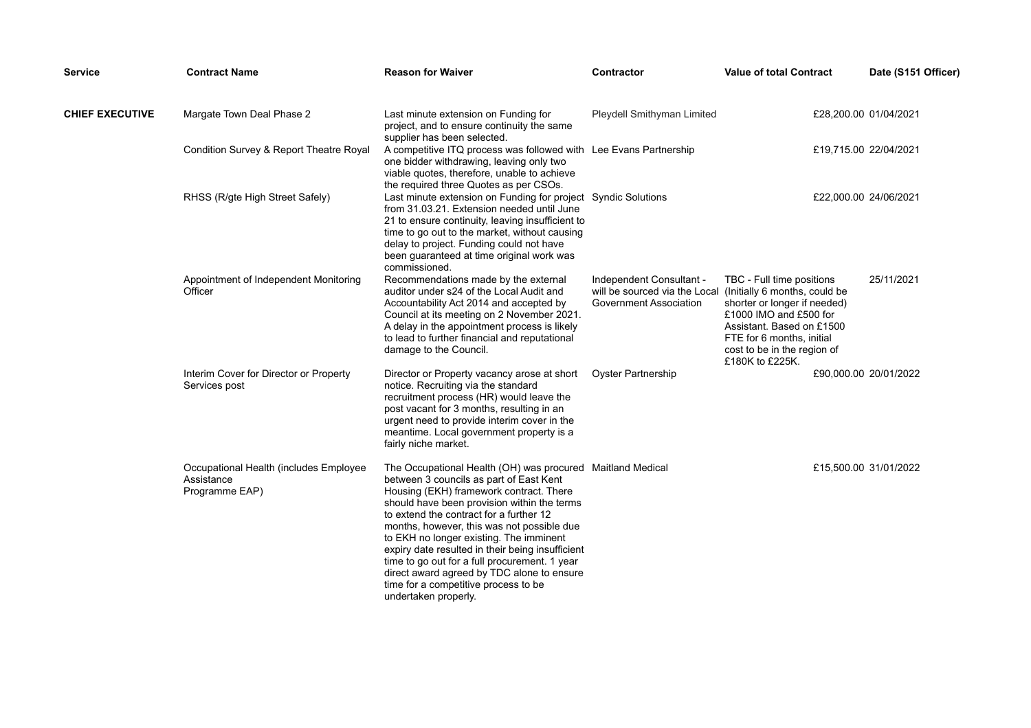| <b>Service</b>         | <b>Contract Name</b>                                                   | <b>Reason for Waiver</b>                                                                                                                                                                                                                                                                                                                                                                                                                                                                                                                               | Contractor                                                                                                        | <b>Value of total Contract</b>                                                                                                                                                                  | Date (S151 Officer)   |
|------------------------|------------------------------------------------------------------------|--------------------------------------------------------------------------------------------------------------------------------------------------------------------------------------------------------------------------------------------------------------------------------------------------------------------------------------------------------------------------------------------------------------------------------------------------------------------------------------------------------------------------------------------------------|-------------------------------------------------------------------------------------------------------------------|-------------------------------------------------------------------------------------------------------------------------------------------------------------------------------------------------|-----------------------|
| <b>CHIEF EXECUTIVE</b> | Margate Town Deal Phase 2                                              | Last minute extension on Funding for<br>project, and to ensure continuity the same<br>supplier has been selected.                                                                                                                                                                                                                                                                                                                                                                                                                                      | Pleydell Smithyman Limited                                                                                        |                                                                                                                                                                                                 | £28,200.00 01/04/2021 |
|                        | Condition Survey & Report Theatre Royal                                | A competitive ITQ process was followed with Lee Evans Partnership<br>one bidder withdrawing, leaving only two<br>viable quotes, therefore, unable to achieve<br>the required three Quotes as per CSOs.                                                                                                                                                                                                                                                                                                                                                 |                                                                                                                   |                                                                                                                                                                                                 | £19,715.00 22/04/2021 |
|                        | RHSS (R/gte High Street Safely)                                        | Last minute extension on Funding for project Syndic Solutions<br>from 31.03.21. Extension needed until June<br>21 to ensure continuity, leaving insufficient to<br>time to go out to the market, without causing<br>delay to project. Funding could not have<br>been guaranteed at time original work was<br>commissioned.                                                                                                                                                                                                                             |                                                                                                                   |                                                                                                                                                                                                 | £22,000.00 24/06/2021 |
|                        | Appointment of Independent Monitoring<br>Officer                       | Recommendations made by the external<br>auditor under s24 of the Local Audit and<br>Accountability Act 2014 and accepted by<br>Council at its meeting on 2 November 2021.<br>A delay in the appointment process is likely<br>to lead to further financial and reputational<br>damage to the Council.                                                                                                                                                                                                                                                   | Independent Consultant -<br>will be sourced via the Local (Initially 6 months, could be<br>Government Association | TBC - Full time positions<br>shorter or longer if needed)<br>£1000 IMO and £500 for<br>Assistant. Based on £1500<br>FTE for 6 months, initial<br>cost to be in the region of<br>£180K to £225K. | 25/11/2021            |
|                        | Interim Cover for Director or Property<br>Services post                | Director or Property vacancy arose at short<br>notice. Recruiting via the standard<br>recruitment process (HR) would leave the<br>post vacant for 3 months, resulting in an<br>urgent need to provide interim cover in the<br>meantime. Local government property is a<br>fairly niche market.                                                                                                                                                                                                                                                         | <b>Oyster Partnership</b>                                                                                         |                                                                                                                                                                                                 | £90,000.00 20/01/2022 |
|                        | Occupational Health (includes Employee<br>Assistance<br>Programme EAP) | The Occupational Health (OH) was procured Maitland Medical<br>between 3 councils as part of East Kent<br>Housing (EKH) framework contract. There<br>should have been provision within the terms<br>to extend the contract for a further 12<br>months, however, this was not possible due<br>to EKH no longer existing. The imminent<br>expiry date resulted in their being insufficient<br>time to go out for a full procurement. 1 year<br>direct award agreed by TDC alone to ensure<br>time for a competitive process to be<br>undertaken properly. |                                                                                                                   |                                                                                                                                                                                                 | £15,500.00 31/01/2022 |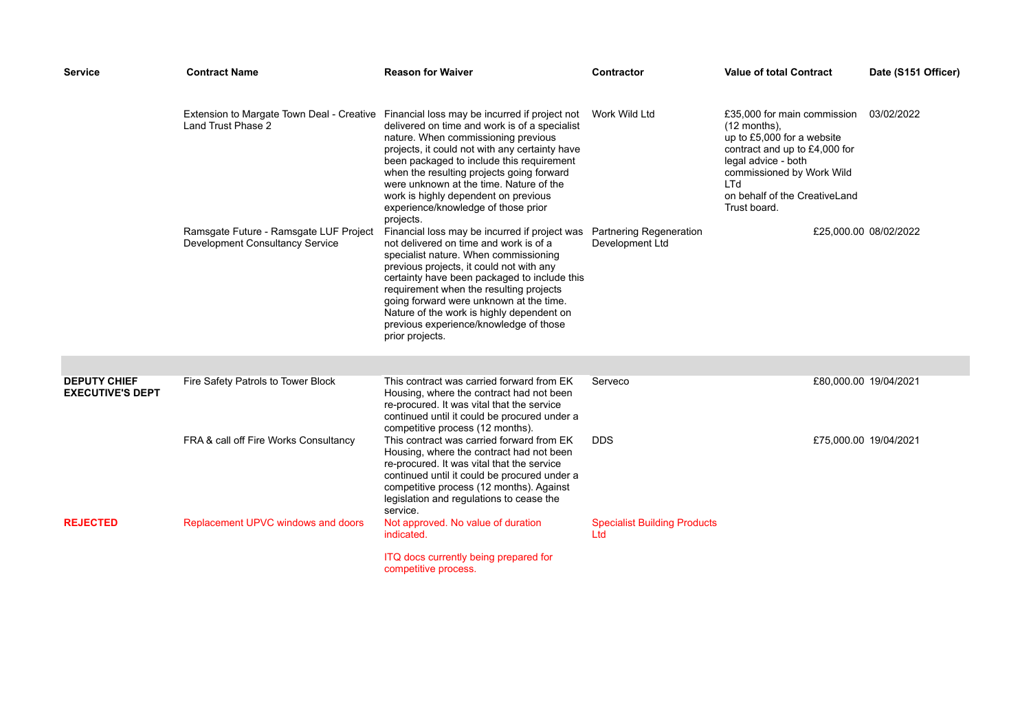| <b>Service</b>                                 | <b>Contract Name</b>                                                      | <b>Reason for Waiver</b>                                                                                                                                                                                                                                                                                                                                                                                                                                           | Contractor                                        | <b>Value of total Contract</b>                                                                                                                                                                                                  | Date (S151 Officer) |
|------------------------------------------------|---------------------------------------------------------------------------|--------------------------------------------------------------------------------------------------------------------------------------------------------------------------------------------------------------------------------------------------------------------------------------------------------------------------------------------------------------------------------------------------------------------------------------------------------------------|---------------------------------------------------|---------------------------------------------------------------------------------------------------------------------------------------------------------------------------------------------------------------------------------|---------------------|
|                                                | Land Trust Phase 2                                                        | Extension to Margate Town Deal - Creative Financial loss may be incurred if project not<br>delivered on time and work is of a specialist<br>nature. When commissioning previous<br>projects, it could not with any certainty have<br>been packaged to include this requirement<br>when the resulting projects going forward<br>were unknown at the time. Nature of the<br>work is highly dependent on previous<br>experience/knowledge of those prior<br>projects. | Work Wild Ltd                                     | £35,000 for main commission<br>$(12$ months),<br>up to £5,000 for a website<br>contract and up to £4,000 for<br>legal advice - both<br>commissioned by Work Wild<br><b>LTd</b><br>on behalf of the CreativeLand<br>Trust board. | 03/02/2022          |
|                                                | Ramsgate Future - Ramsgate LUF Project<br>Development Consultancy Service | Financial loss may be incurred if project was<br>not delivered on time and work is of a<br>specialist nature. When commissioning<br>previous projects, it could not with any<br>certainty have been packaged to include this<br>requirement when the resulting projects<br>going forward were unknown at the time.<br>Nature of the work is highly dependent on<br>previous experience/knowledge of those<br>prior projects.                                       | <b>Partnering Regeneration</b><br>Development Ltd | £25,000.00 08/02/2022                                                                                                                                                                                                           |                     |
|                                                |                                                                           |                                                                                                                                                                                                                                                                                                                                                                                                                                                                    |                                                   |                                                                                                                                                                                                                                 |                     |
| <b>DEPUTY CHIEF</b><br><b>EXECUTIVE'S DEPT</b> | Fire Safety Patrols to Tower Block                                        | This contract was carried forward from EK<br>Housing, where the contract had not been<br>re-procured. It was vital that the service<br>continued until it could be procured under a<br>competitive process (12 months).                                                                                                                                                                                                                                            | Serveco                                           | £80,000.00 19/04/2021                                                                                                                                                                                                           |                     |
|                                                | FRA & call off Fire Works Consultancy                                     | This contract was carried forward from EK<br>Housing, where the contract had not been<br>re-procured. It was vital that the service<br>continued until it could be procured under a<br>competitive process (12 months). Against<br>legislation and regulations to cease the<br>service.                                                                                                                                                                            | <b>DDS</b>                                        | £75,000.00 19/04/2021                                                                                                                                                                                                           |                     |
| <b>REJECTED</b>                                | Replacement UPVC windows and doors                                        | Not approved. No value of duration<br>indicated.                                                                                                                                                                                                                                                                                                                                                                                                                   | <b>Specialist Building Products</b><br>Ltd        |                                                                                                                                                                                                                                 |                     |
|                                                |                                                                           | ITQ docs currently being prepared for<br>competitive process.                                                                                                                                                                                                                                                                                                                                                                                                      |                                                   |                                                                                                                                                                                                                                 |                     |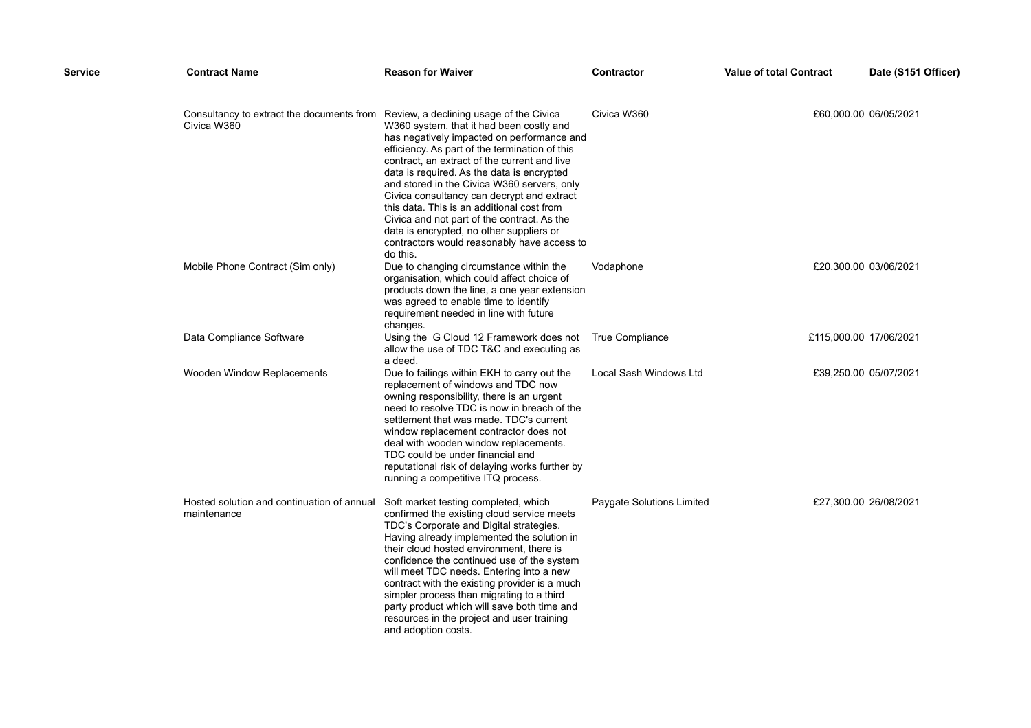| Service | <b>Contract Name</b>                                      | <b>Reason for Waiver</b>                                                                                                                                                                                                                                                                                                                                                                                                                                                                                                                                                           | Contractor                | <b>Value of total Contract</b> | Date (S151 Officer)   |
|---------|-----------------------------------------------------------|------------------------------------------------------------------------------------------------------------------------------------------------------------------------------------------------------------------------------------------------------------------------------------------------------------------------------------------------------------------------------------------------------------------------------------------------------------------------------------------------------------------------------------------------------------------------------------|---------------------------|--------------------------------|-----------------------|
|         | Consultancy to extract the documents from<br>Civica W360  | Review, a declining usage of the Civica<br>W360 system, that it had been costly and<br>has negatively impacted on performance and<br>efficiency. As part of the termination of this<br>contract, an extract of the current and live<br>data is required. As the data is encrypted<br>and stored in the Civica W360 servers, only<br>Civica consultancy can decrypt and extract<br>this data. This is an additional cost from<br>Civica and not part of the contract. As the<br>data is encrypted, no other suppliers or<br>contractors would reasonably have access to<br>do this. | Civica W360               |                                | £60,000.00 06/05/2021 |
|         | Mobile Phone Contract (Sim only)                          | Due to changing circumstance within the<br>organisation, which could affect choice of<br>products down the line, a one year extension<br>was agreed to enable time to identify<br>requirement needed in line with future<br>changes.                                                                                                                                                                                                                                                                                                                                               | Vodaphone                 |                                | £20,300.00 03/06/2021 |
|         | Data Compliance Software                                  | Using the G Cloud 12 Framework does not<br>allow the use of TDC T&C and executing as<br>a deed.                                                                                                                                                                                                                                                                                                                                                                                                                                                                                    | True Compliance           | £115,000.00 17/06/2021         |                       |
|         | Wooden Window Replacements                                | Due to failings within EKH to carry out the<br>replacement of windows and TDC now<br>owning responsibility, there is an urgent<br>need to resolve TDC is now in breach of the<br>settlement that was made. TDC's current<br>window replacement contractor does not<br>deal with wooden window replacements.<br>TDC could be under financial and<br>reputational risk of delaying works further by<br>running a competitive ITQ process.                                                                                                                                            | Local Sash Windows Ltd    |                                | £39,250.00 05/07/2021 |
|         | Hosted solution and continuation of annual<br>maintenance | Soft market testing completed, which<br>confirmed the existing cloud service meets<br>TDC's Corporate and Digital strategies.<br>Having already implemented the solution in<br>their cloud hosted environment, there is<br>confidence the continued use of the system<br>will meet TDC needs. Entering into a new<br>contract with the existing provider is a much<br>simpler process than migrating to a third<br>party product which will save both time and<br>resources in the project and user training<br>and adoption costs.                                                | Paygate Solutions Limited |                                | £27,300.00 26/08/2021 |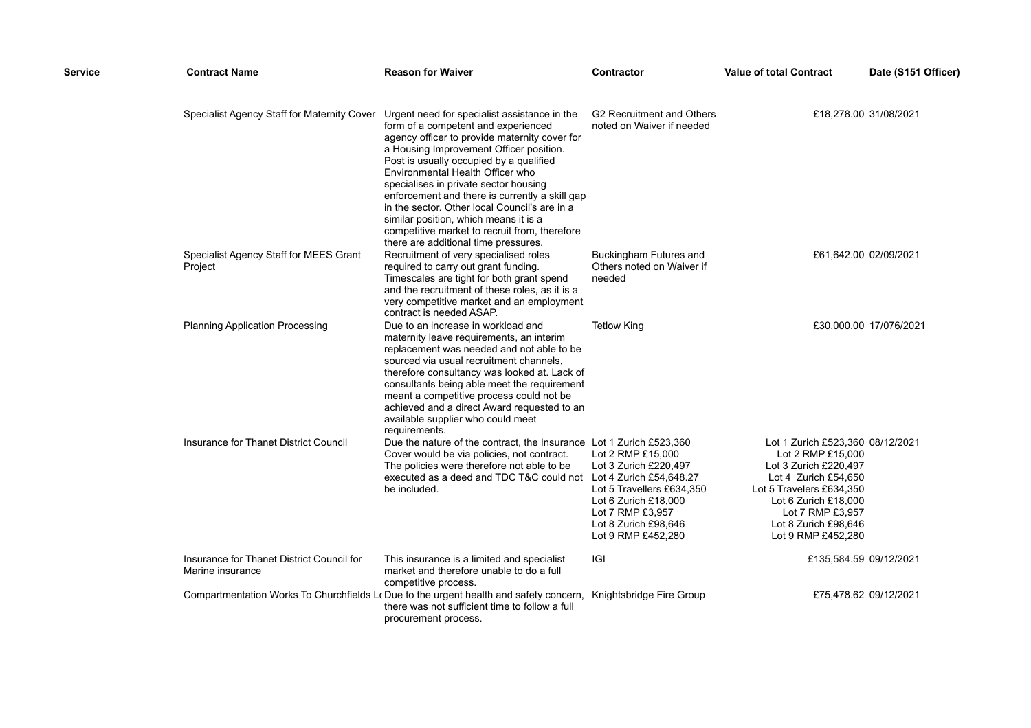| Service | <b>Contract Name</b>                                          | <b>Reason for Waiver</b>                                                                                                                                                                                                                                                                                                                                                                                                                                                                                                                     | <b>Contractor</b>                                                                                                                                                 | <b>Value of total Contract</b>                                                                                                                                                                                               | Date (S151 Officer)    |
|---------|---------------------------------------------------------------|----------------------------------------------------------------------------------------------------------------------------------------------------------------------------------------------------------------------------------------------------------------------------------------------------------------------------------------------------------------------------------------------------------------------------------------------------------------------------------------------------------------------------------------------|-------------------------------------------------------------------------------------------------------------------------------------------------------------------|------------------------------------------------------------------------------------------------------------------------------------------------------------------------------------------------------------------------------|------------------------|
|         | Specialist Agency Staff for Maternity Cover                   | Urgent need for specialist assistance in the<br>form of a competent and experienced<br>agency officer to provide maternity cover for<br>a Housing Improvement Officer position.<br>Post is usually occupied by a qualified<br>Environmental Health Officer who<br>specialises in private sector housing<br>enforcement and there is currently a skill gap<br>in the sector. Other local Council's are in a<br>similar position, which means it is a<br>competitive market to recruit from, therefore<br>there are additional time pressures. | G2 Recruitment and Others<br>noted on Waiver if needed                                                                                                            |                                                                                                                                                                                                                              | £18,278.00 31/08/2021  |
|         | Specialist Agency Staff for MEES Grant<br>Project             | Recruitment of very specialised roles<br>required to carry out grant funding.<br>Timescales are tight for both grant spend<br>and the recruitment of these roles, as it is a<br>very competitive market and an employment<br>contract is needed ASAP.                                                                                                                                                                                                                                                                                        | Buckingham Futures and<br>Others noted on Waiver if<br>needed                                                                                                     |                                                                                                                                                                                                                              | £61,642.00 02/09/2021  |
|         | <b>Planning Application Processing</b>                        | Due to an increase in workload and<br>maternity leave requirements, an interim<br>replacement was needed and not able to be<br>sourced via usual recruitment channels,<br>therefore consultancy was looked at. Lack of<br>consultants being able meet the requirement<br>meant a competitive process could not be<br>achieved and a direct Award requested to an<br>available supplier who could meet<br>requirements.                                                                                                                       | <b>Tetlow King</b>                                                                                                                                                |                                                                                                                                                                                                                              | £30,000.00 17/076/2021 |
|         | Insurance for Thanet District Council                         | Due the nature of the contract, the Insurance Lot 1 Zurich £523,360<br>Cover would be via policies, not contract.<br>The policies were therefore not able to be<br>executed as a deed and TDC T&C could not Lot 4 Zurich £54,648.27<br>be included.                                                                                                                                                                                                                                                                                          | Lot 2 RMP £15,000<br>Lot 3 Zurich £220,497<br>Lot 5 Travellers £634,350<br>Lot 6 Zurich £18,000<br>Lot 7 RMP £3,957<br>Lot 8 Zurich £98,646<br>Lot 9 RMP £452,280 | Lot 1 Zurich £523,360 08/12/2021<br>Lot 2 RMP £15,000<br>Lot 3 Zurich £220,497<br>Lot 4 Zurich £54,650<br>Lot 5 Travelers £634,350<br>Lot 6 Zurich £18,000<br>Lot 7 RMP £3,957<br>Lot 8 Zurich £98,646<br>Lot 9 RMP £452,280 |                        |
|         | Insurance for Thanet District Council for<br>Marine insurance | This insurance is a limited and specialist<br>market and therefore unable to do a full<br>competitive process.                                                                                                                                                                                                                                                                                                                                                                                                                               | IGI                                                                                                                                                               | £135,584.59 09/12/2021                                                                                                                                                                                                       |                        |
|         |                                                               | Compartmentation Works To Churchfields Lo Due to the urgent health and safety concern, Knightsbridge Fire Group<br>there was not sufficient time to follow a full<br>procurement process.                                                                                                                                                                                                                                                                                                                                                    |                                                                                                                                                                   |                                                                                                                                                                                                                              | £75,478.62 09/12/2021  |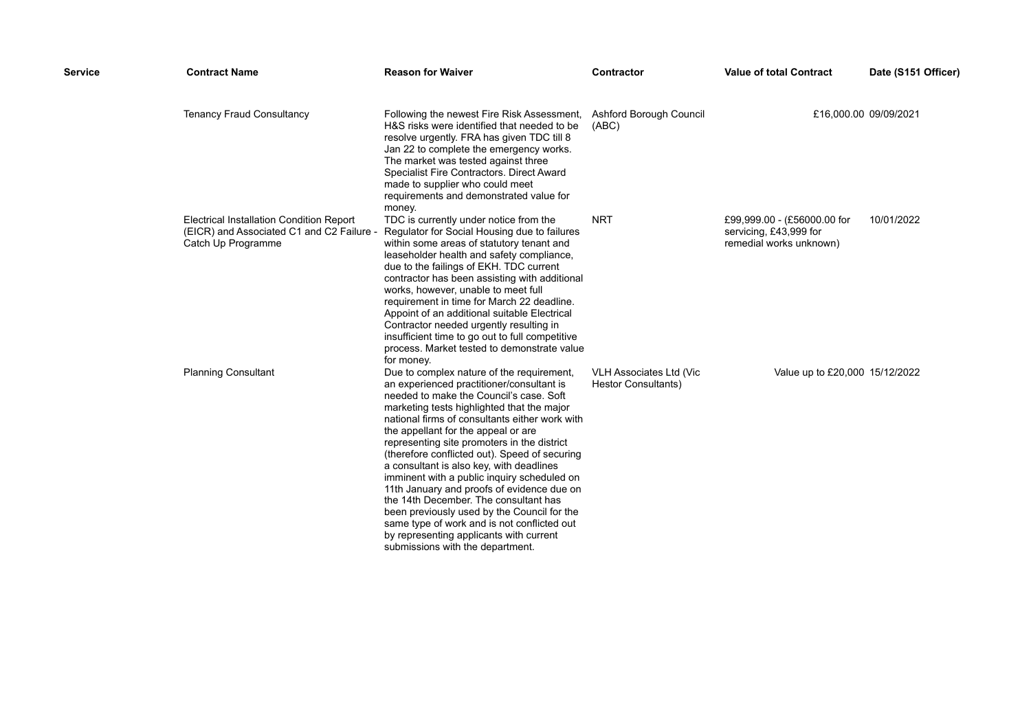| <b>Service</b> | <b>Contract Name</b>                                                                                               | <b>Reason for Waiver</b>                                                                                                                                                                                                                                                                                                                                                                                                                                                                                                                                                                                                                                                                                                                | <b>Contractor</b>                                     | <b>Value of total Contract</b>                                                   | Date (S151 Officer)   |
|----------------|--------------------------------------------------------------------------------------------------------------------|-----------------------------------------------------------------------------------------------------------------------------------------------------------------------------------------------------------------------------------------------------------------------------------------------------------------------------------------------------------------------------------------------------------------------------------------------------------------------------------------------------------------------------------------------------------------------------------------------------------------------------------------------------------------------------------------------------------------------------------------|-------------------------------------------------------|----------------------------------------------------------------------------------|-----------------------|
|                | <b>Tenancy Fraud Consultancy</b>                                                                                   | Following the newest Fire Risk Assessment,<br>H&S risks were identified that needed to be<br>resolve urgently. FRA has given TDC till 8<br>Jan 22 to complete the emergency works.<br>The market was tested against three<br>Specialist Fire Contractors. Direct Award<br>made to supplier who could meet<br>requirements and demonstrated value for<br>money.                                                                                                                                                                                                                                                                                                                                                                          | Ashford Borough Council<br>(ABC)                      |                                                                                  | £16,000.00 09/09/2021 |
|                | <b>Electrical Installation Condition Report</b><br>(EICR) and Associated C1 and C2 Failure -<br>Catch Up Programme | TDC is currently under notice from the<br>Regulator for Social Housing due to failures<br>within some areas of statutory tenant and<br>leaseholder health and safety compliance,<br>due to the failings of EKH. TDC current<br>contractor has been assisting with additional<br>works, however, unable to meet full<br>requirement in time for March 22 deadline.<br>Appoint of an additional suitable Electrical<br>Contractor needed urgently resulting in<br>insufficient time to go out to full competitive<br>process. Market tested to demonstrate value<br>for money.                                                                                                                                                            | <b>NRT</b>                                            | £99,999.00 - (£56000.00 for<br>servicing, £43,999 for<br>remedial works unknown) | 10/01/2022            |
|                | <b>Planning Consultant</b>                                                                                         | Due to complex nature of the requirement,<br>an experienced practitioner/consultant is<br>needed to make the Council's case. Soft<br>marketing tests highlighted that the major<br>national firms of consultants either work with<br>the appellant for the appeal or are<br>representing site promoters in the district<br>(therefore conflicted out). Speed of securing<br>a consultant is also key, with deadlines<br>imminent with a public inquiry scheduled on<br>11th January and proofs of evidence due on<br>the 14th December. The consultant has<br>been previously used by the Council for the<br>same type of work and is not conflicted out<br>by representing applicants with current<br>submissions with the department. | VLH Associates Ltd (Vic<br><b>Hestor Consultants)</b> | Value up to £20,000 15/12/2022                                                   |                       |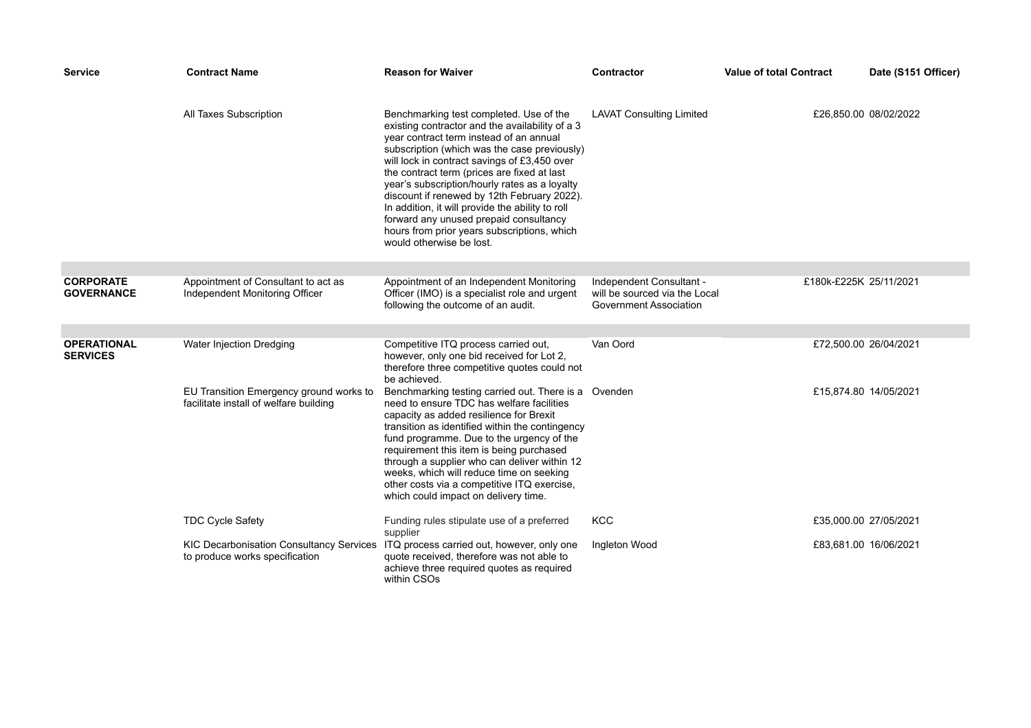| <b>Service</b>                        | Contract Name                                                                     | <b>Reason for Waiver</b>                                                                                                                                                                                                                                                                                                                                                                                                                                                                                                                                      | <b>Contractor</b>                                                                   | <b>Value of total Contract</b> | Date (S151 Officer)   |
|---------------------------------------|-----------------------------------------------------------------------------------|---------------------------------------------------------------------------------------------------------------------------------------------------------------------------------------------------------------------------------------------------------------------------------------------------------------------------------------------------------------------------------------------------------------------------------------------------------------------------------------------------------------------------------------------------------------|-------------------------------------------------------------------------------------|--------------------------------|-----------------------|
|                                       | All Taxes Subscription                                                            | Benchmarking test completed. Use of the<br>existing contractor and the availability of a 3<br>year contract term instead of an annual<br>subscription (which was the case previously)<br>will lock in contract savings of £3,450 over<br>the contract term (prices are fixed at last<br>year's subscription/hourly rates as a loyalty<br>discount if renewed by 12th February 2022).<br>In addition, it will provide the ability to roll<br>forward any unused prepaid consultancy<br>hours from prior years subscriptions, which<br>would otherwise be lost. | <b>LAVAT Consulting Limited</b>                                                     |                                | £26,850.00 08/02/2022 |
|                                       |                                                                                   |                                                                                                                                                                                                                                                                                                                                                                                                                                                                                                                                                               |                                                                                     |                                |                       |
| <b>CORPORATE</b><br><b>GOVERNANCE</b> | Appointment of Consultant to act as<br>Independent Monitoring Officer             | Appointment of an Independent Monitoring<br>Officer (IMO) is a specialist role and urgent<br>following the outcome of an audit.                                                                                                                                                                                                                                                                                                                                                                                                                               | Independent Consultant -<br>will be sourced via the Local<br>Government Association | £180k-£225K 25/11/2021         |                       |
|                                       |                                                                                   |                                                                                                                                                                                                                                                                                                                                                                                                                                                                                                                                                               |                                                                                     |                                |                       |
| <b>OPERATIONAL</b><br><b>SERVICES</b> | Water Injection Dredging                                                          | Competitive ITQ process carried out,<br>however, only one bid received for Lot 2,<br>therefore three competitive quotes could not<br>be achieved.                                                                                                                                                                                                                                                                                                                                                                                                             | Van Oord                                                                            |                                | £72,500.00 26/04/2021 |
|                                       | EU Transition Emergency ground works to<br>facilitate install of welfare building | Benchmarking testing carried out. There is a Ovenden<br>need to ensure TDC has welfare facilities<br>capacity as added resilience for Brexit<br>transition as identified within the contingency<br>fund programme. Due to the urgency of the<br>requirement this item is being purchased<br>through a supplier who can deliver within 12<br>weeks, which will reduce time on seeking<br>other costs via a competitive ITQ exercise,<br>which could impact on delivery time.                                                                                   |                                                                                     |                                | £15,874.80 14/05/2021 |
|                                       | <b>TDC Cycle Safety</b>                                                           | Funding rules stipulate use of a preferred<br>supplier                                                                                                                                                                                                                                                                                                                                                                                                                                                                                                        | <b>KCC</b>                                                                          |                                | £35,000.00 27/05/2021 |
|                                       | <b>KIC Decarbonisation Consultancy Services</b><br>to produce works specification | ITQ process carried out, however, only one<br>quote received, therefore was not able to<br>achieve three required quotes as required<br>within CSOs                                                                                                                                                                                                                                                                                                                                                                                                           | Ingleton Wood                                                                       |                                | £83,681.00 16/06/2021 |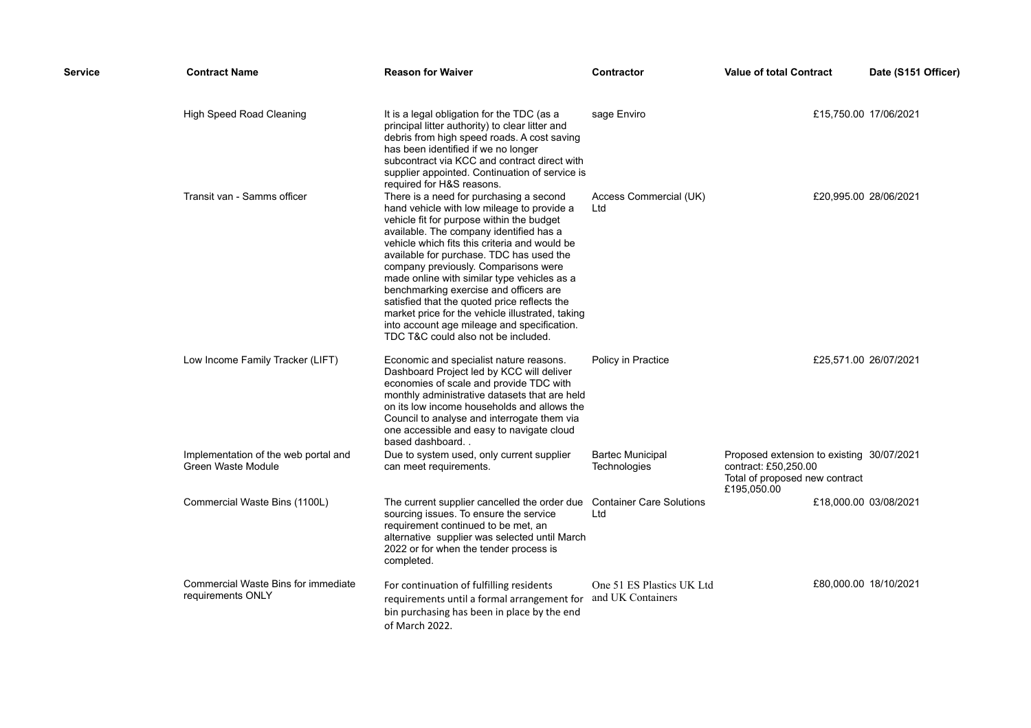| Service | <b>Contract Name</b>                                       | <b>Reason for Waiver</b>                                                                                                                                                                                                                                                                                                                                                                                                                                                                                                                                                                              | <b>Contractor</b>                       | <b>Value of total Contract</b>                                                                                     | Date (S151 Officer) |
|---------|------------------------------------------------------------|-------------------------------------------------------------------------------------------------------------------------------------------------------------------------------------------------------------------------------------------------------------------------------------------------------------------------------------------------------------------------------------------------------------------------------------------------------------------------------------------------------------------------------------------------------------------------------------------------------|-----------------------------------------|--------------------------------------------------------------------------------------------------------------------|---------------------|
|         | <b>High Speed Road Cleaning</b>                            | It is a legal obligation for the TDC (as a<br>principal litter authority) to clear litter and<br>debris from high speed roads. A cost saving<br>has been identified if we no longer<br>subcontract via KCC and contract direct with<br>supplier appointed. Continuation of service is<br>required for H&S reasons.                                                                                                                                                                                                                                                                                    | sage Enviro                             | £15,750.00 17/06/2021                                                                                              |                     |
|         | Transit van - Samms officer                                | There is a need for purchasing a second<br>hand vehicle with low mileage to provide a<br>vehicle fit for purpose within the budget<br>available. The company identified has a<br>vehicle which fits this criteria and would be<br>available for purchase. TDC has used the<br>company previously. Comparisons were<br>made online with similar type vehicles as a<br>benchmarking exercise and officers are<br>satisfied that the quoted price reflects the<br>market price for the vehicle illustrated, taking<br>into account age mileage and specification.<br>TDC T&C could also not be included. | Access Commercial (UK)<br>Ltd           | £20,995.00 28/06/2021                                                                                              |                     |
|         | Low Income Family Tracker (LIFT)                           | Economic and specialist nature reasons.<br>Dashboard Project led by KCC will deliver<br>economies of scale and provide TDC with<br>monthly administrative datasets that are held<br>on its low income households and allows the<br>Council to analyse and interrogate them via<br>one accessible and easy to navigate cloud<br>based dashboard                                                                                                                                                                                                                                                        | Policy in Practice                      | £25,571.00 26/07/2021                                                                                              |                     |
|         | Implementation of the web portal and<br>Green Waste Module | Due to system used, only current supplier<br>can meet requirements.                                                                                                                                                                                                                                                                                                                                                                                                                                                                                                                                   | <b>Bartec Municipal</b><br>Technologies | Proposed extension to existing 30/07/2021<br>contract: £50,250.00<br>Total of proposed new contract<br>£195,050.00 |                     |
|         | Commercial Waste Bins (1100L)                              | The current supplier cancelled the order due  Container Care Solutions<br>sourcing issues. To ensure the service<br>requirement continued to be met, an<br>alternative supplier was selected until March<br>2022 or for when the tender process is<br>completed.                                                                                                                                                                                                                                                                                                                                      | Ltd                                     | £18,000.00 03/08/2021                                                                                              |                     |
|         | Commercial Waste Bins for immediate<br>requirements ONLY   | For continuation of fulfilling residents<br>requirements until a formal arrangement for and UK Containers<br>bin purchasing has been in place by the end<br>of March 2022.                                                                                                                                                                                                                                                                                                                                                                                                                            | One 51 ES Plastics UK Ltd               | £80,000.00 18/10/2021                                                                                              |                     |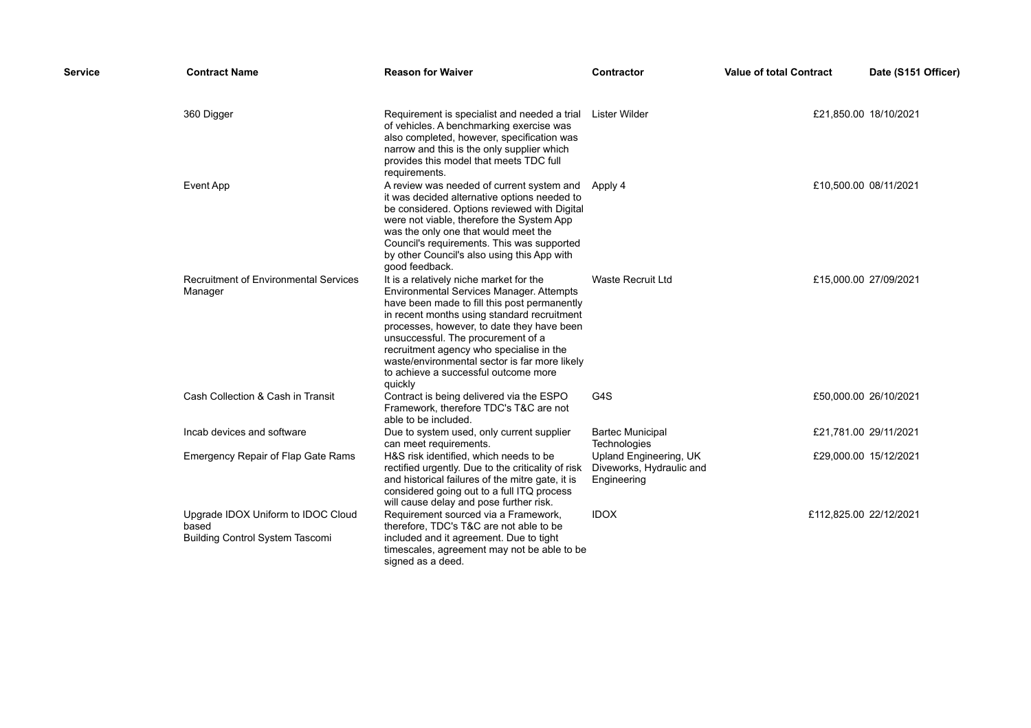| Service | <b>Contract Name</b>                                                           | <b>Reason for Waiver</b>                                                                                                                                                                                                                                                                                                                                                                                               | <b>Contractor</b>                                                 | <b>Value of total Contract</b> | Date (S151 Officer)   |
|---------|--------------------------------------------------------------------------------|------------------------------------------------------------------------------------------------------------------------------------------------------------------------------------------------------------------------------------------------------------------------------------------------------------------------------------------------------------------------------------------------------------------------|-------------------------------------------------------------------|--------------------------------|-----------------------|
|         | 360 Digger                                                                     | Requirement is specialist and needed a trial<br>of vehicles. A benchmarking exercise was<br>also completed, however, specification was<br>narrow and this is the only supplier which<br>provides this model that meets TDC full<br>requirements.                                                                                                                                                                       | Lister Wilder                                                     |                                | £21,850.00 18/10/2021 |
|         | <b>Event App</b>                                                               | A review was needed of current system and Apply 4<br>it was decided alternative options needed to<br>be considered. Options reviewed with Digital<br>were not viable, therefore the System App<br>was the only one that would meet the<br>Council's requirements. This was supported<br>by other Council's also using this App with<br>good feedback.                                                                  |                                                                   | £10,500.00 08/11/2021          |                       |
|         | <b>Recruitment of Environmental Services</b><br>Manager                        | It is a relatively niche market for the<br>Environmental Services Manager. Attempts<br>have been made to fill this post permanently<br>in recent months using standard recruitment<br>processes, however, to date they have been<br>unsuccessful. The procurement of a<br>recruitment agency who specialise in the<br>waste/environmental sector is far more likely<br>to achieve a successful outcome more<br>quickly | <b>Waste Recruit Ltd</b>                                          |                                | £15,000.00 27/09/2021 |
|         | Cash Collection & Cash in Transit                                              | Contract is being delivered via the ESPO<br>Framework, therefore TDC's T&C are not<br>able to be included.                                                                                                                                                                                                                                                                                                             | G4S                                                               |                                | £50,000.00 26/10/2021 |
|         | Incab devices and software                                                     | Due to system used, only current supplier<br>can meet requirements.                                                                                                                                                                                                                                                                                                                                                    | <b>Bartec Municipal</b><br>Technologies                           | £21,781.00 29/11/2021          |                       |
|         | <b>Emergency Repair of Flap Gate Rams</b>                                      | H&S risk identified, which needs to be<br>rectified urgently. Due to the criticality of risk<br>and historical failures of the mitre gate, it is<br>considered going out to a full ITQ process<br>will cause delay and pose further risk.                                                                                                                                                                              | Upland Engineering, UK<br>Diveworks, Hydraulic and<br>Engineering |                                | £29,000.00 15/12/2021 |
|         | Upgrade IDOX Uniform to IDOC Cloud<br>based<br>Building Control System Tascomi | Requirement sourced via a Framework,<br>therefore, TDC's T&C are not able to be<br>included and it agreement. Due to tight<br>timescales, agreement may not be able to be<br>signed as a deed.                                                                                                                                                                                                                         | <b>IDOX</b>                                                       | £112,825.00 22/12/2021         |                       |